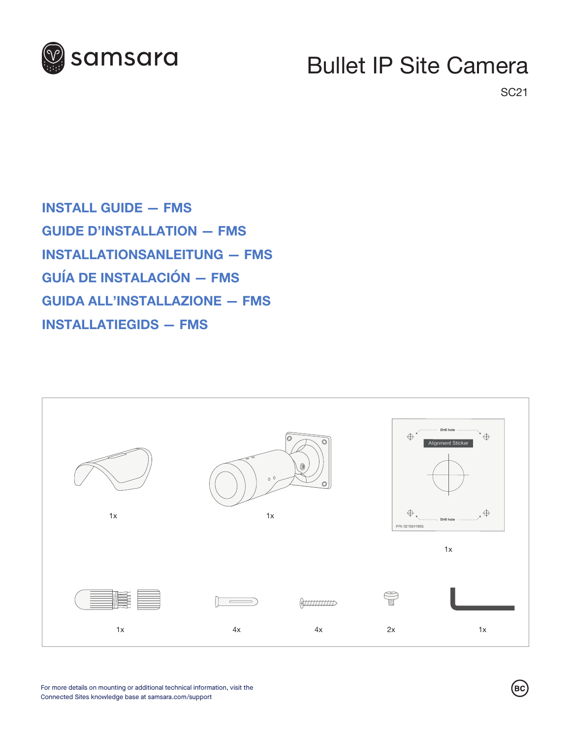

## Bullet IP Site Camera

SC21

**INSTALL GUIDE — FMS GUIDE D'INSTALLATION — FMS INSTALLATIONSANLEITUNG — FMS GUÍA DE INSTALACIÓN — FMS GUIDA ALL'INSTALLAZIONE — FMS INSTALLATIEGIDS — FMS**



 $\left(\overline{\mathsf{B}\mathsf{C}}\right)$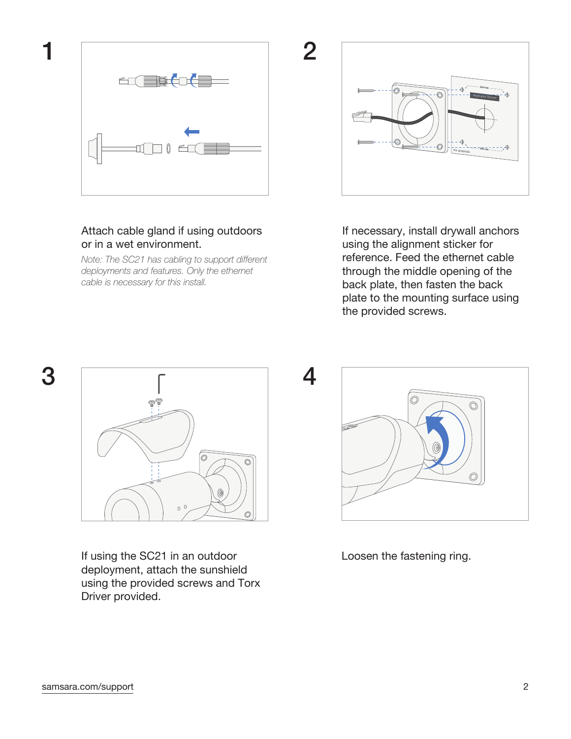

## Attach cable gland if using outdoors or in a wet environment.

*Note: The SC21 has cabling to support different deployments and features. Only the ethernet cable is necessary for this install.*



If necessary, install drywall anchors using the alignment sticker for reference. Feed the ethernet cable through the middle opening of the back plate, then fasten the back plate to the mounting surface using the provided screws.



If using the SC21 in an outdoor deployment, attach the sunshield using the provided screws and Torx Driver provided.

O

4

Loosen the fastening ring.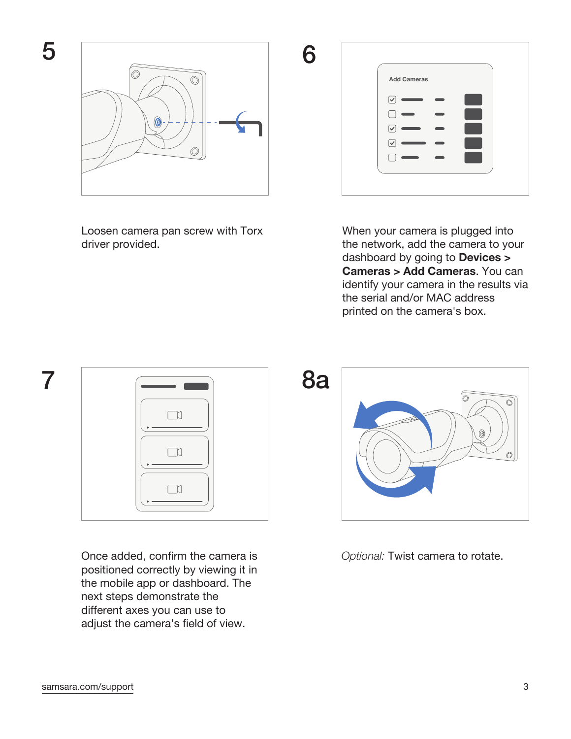

Loosen camera pan screw with Torx driver provided.

 $\boxed{\checkmark}$  $\Box$  $\boxed{\blacktriangledown}$  $\boxed{\blacktriangledown}$  $\Box$ When your camera is plugged into

**Add Cameras**

the network, add the camera to your dashboard by going to **Devices > Cameras > Add Cameras**. You can identify your camera in the results via the serial and/or MAC address printed on the camera's box.



Once added, confirm the camera is positioned correctly by viewing it in the mobile app or dashboard. The next steps demonstrate the different axes you can use to adjust the camera's field of view.



*Optional:* Twist camera to rotate.